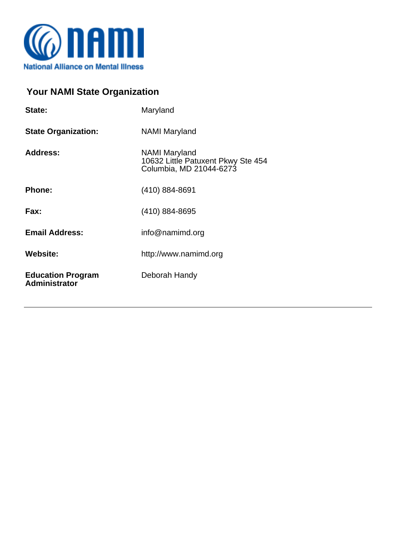

## **Your NAMI State Organization**

| State:                                           | Maryland                                                                       |  |
|--------------------------------------------------|--------------------------------------------------------------------------------|--|
| <b>State Organization:</b>                       | NAMI Maryland                                                                  |  |
| Address:                                         | NAMI Maryland<br>10632 Little Patuxent Pkwy Ste 454<br>Columbia, MD 21044-6273 |  |
| <b>Phone:</b>                                    | (410) 884-8691                                                                 |  |
| Fax:                                             | (410) 884-8695                                                                 |  |
| <b>Email Address:</b>                            | info@namimd.org                                                                |  |
| <b>Website:</b>                                  | http://www.namimd.org                                                          |  |
| <b>Education Program</b><br><b>Administrator</b> | Deborah Handy                                                                  |  |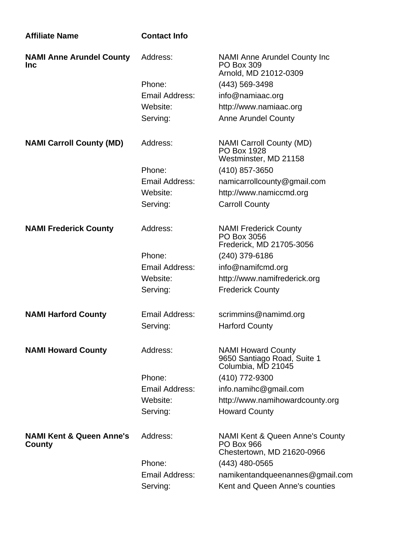| <b>Affiliate Name</b>                         | <b>Contact Info</b>   |                                                                                    |
|-----------------------------------------------|-----------------------|------------------------------------------------------------------------------------|
| <b>NAMI Anne Arundel County</b><br><b>Inc</b> | Address:              | <b>NAMI Anne Arundel County Inc.</b><br><b>PO Box 309</b><br>Arnold, MD 21012-0309 |
|                                               | Phone:                | (443) 569-3498                                                                     |
|                                               | Email Address:        | info@namiaac.org                                                                   |
|                                               | Website:              | http://www.namiaac.org                                                             |
|                                               | Serving:              | <b>Anne Arundel County</b>                                                         |
| <b>NAMI Carroll County (MD)</b>               | Address:              | <b>NAMI Carroll County (MD)</b><br><b>PO Box 1928</b><br>Westminster, MD 21158     |
|                                               | Phone:                | (410) 857-3650                                                                     |
|                                               | <b>Email Address:</b> | namicarrollcounty@gmail.com                                                        |
|                                               | Website:              | http://www.namiccmd.org                                                            |
|                                               | Serving:              | <b>Carroll County</b>                                                              |
| <b>NAMI Frederick County</b>                  | Address:              | <b>NAMI Frederick County</b><br>PO Box 3056<br>Frederick, MD 21705-3056            |
|                                               | Phone:                | (240) 379-6186                                                                     |
|                                               | <b>Email Address:</b> | info@namifcmd.org                                                                  |
|                                               | Website:              | http://www.namifrederick.org                                                       |
|                                               | Serving:              | <b>Frederick County</b>                                                            |
| <b>NAMI Harford County</b>                    | Email Address:        | scrimmins@namimd.org                                                               |
|                                               | Serving:              | <b>Harford County</b>                                                              |
| <b>NAMI Howard County</b>                     | Address:              | <b>NAMI Howard County</b><br>9650 Santiago Road, Suite 1<br>Columbia, MD 21045     |
|                                               | Phone:                | (410) 772-9300                                                                     |
|                                               | <b>Email Address:</b> | info.namihc@gmail.com                                                              |
|                                               | Website:              | http://www.namihowardcounty.org                                                    |
|                                               | Serving:              | <b>Howard County</b>                                                               |
| <b>NAMI Kent &amp; Queen Anne's</b><br>County | Address:              | NAMI Kent & Queen Anne's County<br><b>PO Box 966</b><br>Chestertown, MD 21620-0966 |
|                                               | Phone:                | $(443)$ 480-0565                                                                   |
|                                               | Email Address:        | namikentandqueenannes@gmail.com                                                    |
|                                               | Serving:              | Kent and Queen Anne's counties                                                     |
|                                               |                       |                                                                                    |